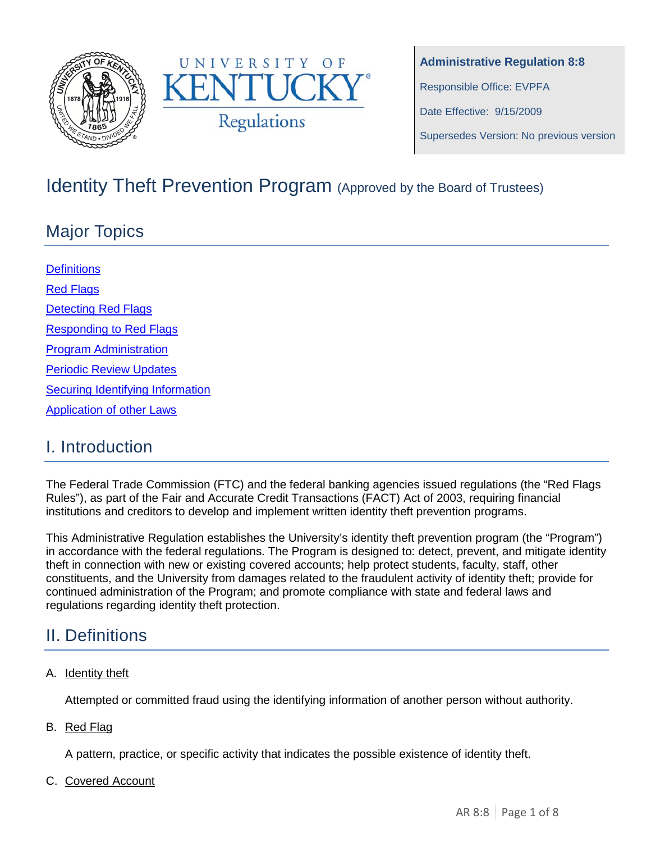



**Administrative Regulation 8:8** Responsible Office: EVPFA Date Effective: 9/15/2009 Supersedes Version: No previous version

# Identity Theft Prevention Program (Approved by the Board of Trustees)

# Major Topics

**[Definitions](#page-0-0)** [Red Flags](#page-1-0) **[Detecting Red Flags](#page-2-0)** [Responding to Red Flags](#page-2-1) [Program Administration](#page-3-0) [Periodic Review Updates](#page-4-0) [Securing Identifying Information](#page-4-1) [Application of other Laws](#page-5-0)

## I. Introduction

The Federal Trade Commission (FTC) and the federal banking agencies issued regulations (the "Red Flags Rules"), as part of the Fair and Accurate Credit Transactions (FACT) Act of 2003, requiring financial institutions and creditors to develop and implement written identity theft prevention programs.

This Administrative Regulation establishes the University's identity theft prevention program (the "Program") in accordance with the federal regulations. The Program is designed to: detect, prevent, and mitigate identity theft in connection with new or existing covered accounts; help protect students, faculty, staff, other constituents, and the University from damages related to the fraudulent activity of identity theft; provide for continued administration of the Program; and promote compliance with state and federal laws and regulations regarding identity theft protection.

## <span id="page-0-0"></span>II. Definitions

### A. Identity theft

Attempted or committed fraud using the identifying information of another person without authority.

B. Red Flag

A pattern, practice, or specific activity that indicates the possible existence of identity theft.

C. Covered Account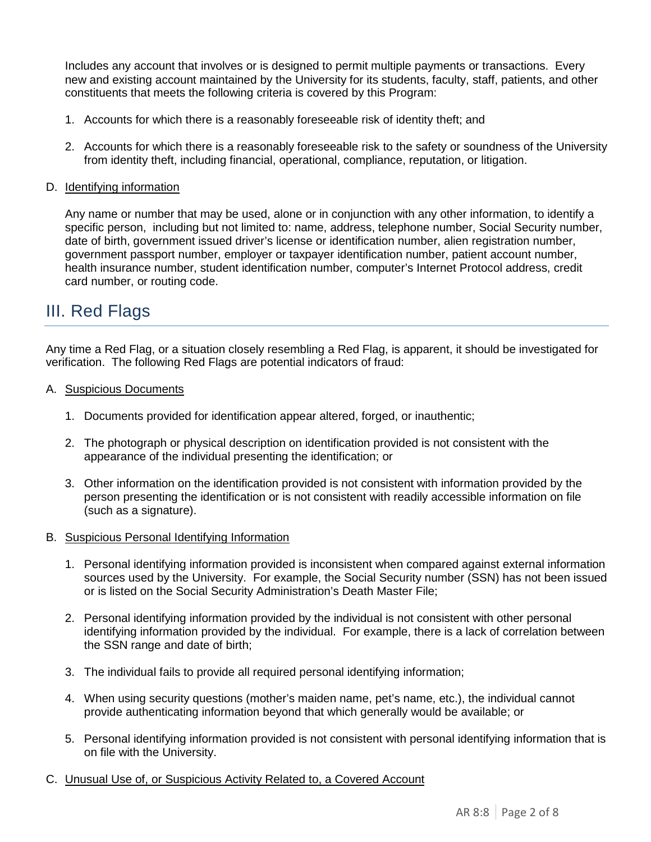Includes any account that involves or is designed to permit multiple payments or transactions. Every new and existing account maintained by the University for its students, faculty, staff, patients, and other constituents that meets the following criteria is covered by this Program:

- 1. Accounts for which there is a reasonably foreseeable risk of identity theft; and
- 2. Accounts for which there is a reasonably foreseeable risk to the safety or soundness of the University from identity theft, including financial, operational, compliance, reputation, or litigation.

#### D. Identifying information

Any name or number that may be used, alone or in conjunction with any other information, to identify a specific person, including but not limited to: name, address, telephone number, Social Security number, date of birth, government issued driver's license or identification number, alien registration number, government passport number, employer or taxpayer identification number, patient account number, health insurance number, student identification number, computer's Internet Protocol address, credit card number, or routing code.

### <span id="page-1-0"></span>III. Red Flags

Any time a Red Flag, or a situation closely resembling a Red Flag, is apparent, it should be investigated for verification. The following Red Flags are potential indicators of fraud:

- A. Suspicious Documents
	- 1. Documents provided for identification appear altered, forged, or inauthentic;
	- 2. The photograph or physical description on identification provided is not consistent with the appearance of the individual presenting the identification; or
	- 3. Other information on the identification provided is not consistent with information provided by the person presenting the identification or is not consistent with readily accessible information on file (such as a signature).
- B. Suspicious Personal Identifying Information
	- 1. Personal identifying information provided is inconsistent when compared against external information sources used by the University. For example, the Social Security number (SSN) has not been issued or is listed on the Social Security Administration's Death Master File;
	- 2. Personal identifying information provided by the individual is not consistent with other personal identifying information provided by the individual. For example, there is a lack of correlation between the SSN range and date of birth;
	- 3. The individual fails to provide all required personal identifying information;
	- 4. When using security questions (mother's maiden name, pet's name, etc.), the individual cannot provide authenticating information beyond that which generally would be available; or
	- 5. Personal identifying information provided is not consistent with personal identifying information that is on file with the University.
- C. Unusual Use of, or Suspicious Activity Related to, a Covered Account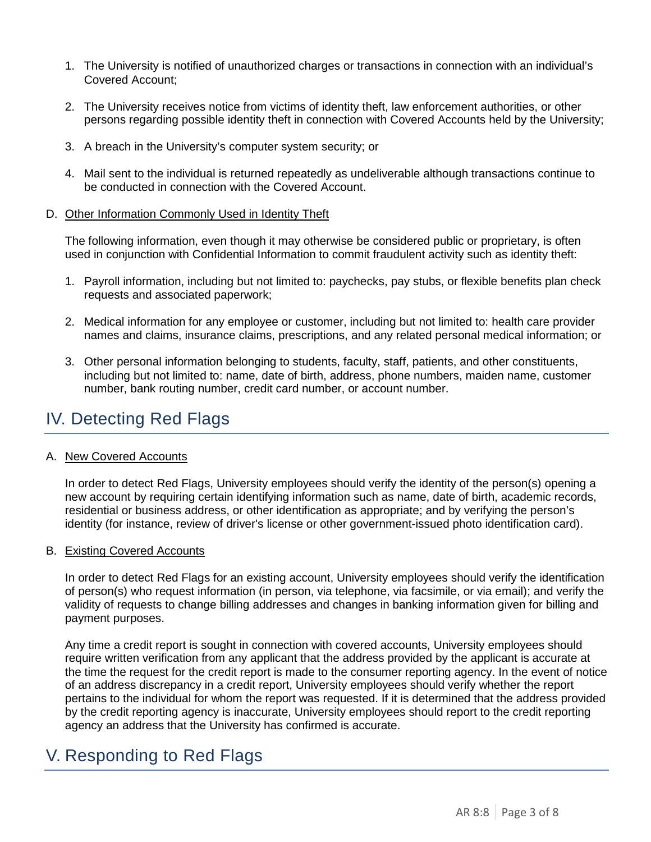- 1. The University is notified of unauthorized charges or transactions in connection with an individual's Covered Account;
- 2. The University receives notice from victims of identity theft, law enforcement authorities, or other persons regarding possible identity theft in connection with Covered Accounts held by the University;
- 3. A breach in the University's computer system security; or
- 4. Mail sent to the individual is returned repeatedly as undeliverable although transactions continue to be conducted in connection with the Covered Account.
- D. Other Information Commonly Used in Identity Theft

The following information, even though it may otherwise be considered public or proprietary, is often used in conjunction with Confidential Information to commit fraudulent activity such as identity theft:

- 1. Payroll information, including but not limited to: paychecks, pay stubs, or flexible benefits plan check requests and associated paperwork;
- 2. Medical information for any employee or customer, including but not limited to: health care provider names and claims, insurance claims, prescriptions, and any related personal medical information; or
- 3. Other personal information belonging to students, faculty, staff, patients, and other constituents, including but not limited to: name, date of birth, address, phone numbers, maiden name, customer number, bank routing number, credit card number, or account number.

## <span id="page-2-0"></span>IV. Detecting Red Flags

#### A. New Covered Accounts

In order to detect Red Flags, University employees should verify the identity of the person(s) opening a new account by requiring certain identifying information such as name, date of birth, academic records, residential or business address, or other identification as appropriate; and by verifying the person's identity (for instance, review of driver's license or other government-issued photo identification card).

#### B. Existing Covered Accounts

In order to detect Red Flags for an existing account, University employees should verify the identification of person(s) who request information (in person, via telephone, via facsimile, or via email); and verify the validity of requests to change billing addresses and changes in banking information given for billing and payment purposes.

Any time a credit report is sought in connection with covered accounts, University employees should require written verification from any applicant that the address provided by the applicant is accurate at the time the request for the credit report is made to the consumer reporting agency. In the event of notice of an address discrepancy in a credit report, University employees should verify whether the report pertains to the individual for whom the report was requested. If it is determined that the address provided by the credit reporting agency is inaccurate, University employees should report to the credit reporting agency an address that the University has confirmed is accurate.

### <span id="page-2-1"></span>V. Responding to Red Flags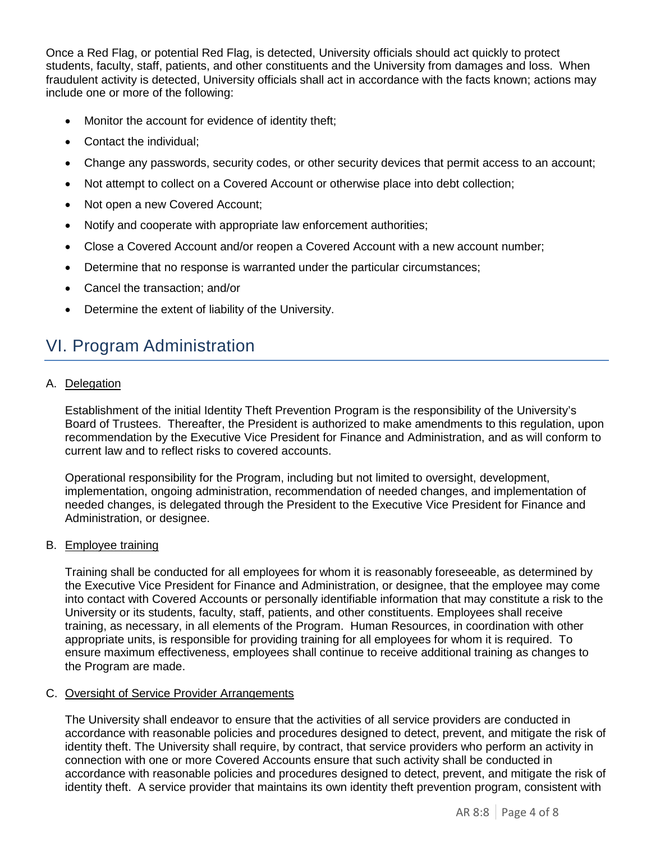Once a Red Flag, or potential Red Flag, is detected, University officials should act quickly to protect students, faculty, staff, patients, and other constituents and the University from damages and loss. When fraudulent activity is detected, University officials shall act in accordance with the facts known; actions may include one or more of the following:

- Monitor the account for evidence of identity theft;
- Contact the individual;
- Change any passwords, security codes, or other security devices that permit access to an account;
- Not attempt to collect on a Covered Account or otherwise place into debt collection;
- Not open a new Covered Account;
- Notify and cooperate with appropriate law enforcement authorities;
- Close a Covered Account and/or reopen a Covered Account with a new account number;
- Determine that no response is warranted under the particular circumstances;
- Cancel the transaction; and/or
- Determine the extent of liability of the University.

### <span id="page-3-0"></span>VI. Program Administration

A. Delegation

Establishment of the initial Identity Theft Prevention Program is the responsibility of the University's Board of Trustees. Thereafter, the President is authorized to make amendments to this regulation, upon recommendation by the Executive Vice President for Finance and Administration, and as will conform to current law and to reflect risks to covered accounts.

Operational responsibility for the Program, including but not limited to oversight, development, implementation, ongoing administration, recommendation of needed changes, and implementation of needed changes, is delegated through the President to the Executive Vice President for Finance and Administration, or designee.

#### B. Employee training

Training shall be conducted for all employees for whom it is reasonably foreseeable, as determined by the Executive Vice President for Finance and Administration, or designee, that the employee may come into contact with Covered Accounts or personally identifiable information that may constitute a risk to the University or its students, faculty, staff, patients, and other constituents. Employees shall receive training, as necessary, in all elements of the Program. Human Resources, in coordination with other appropriate units, is responsible for providing training for all employees for whom it is required. To ensure maximum effectiveness, employees shall continue to receive additional training as changes to the Program are made.

#### C. Oversight of Service Provider Arrangements

The University shall endeavor to ensure that the activities of all service providers are conducted in accordance with reasonable policies and procedures designed to detect, prevent, and mitigate the risk of identity theft. The University shall require, by contract, that service providers who perform an activity in connection with one or more Covered Accounts ensure that such activity shall be conducted in accordance with reasonable policies and procedures designed to detect, prevent, and mitigate the risk of identity theft. A service provider that maintains its own identity theft prevention program, consistent with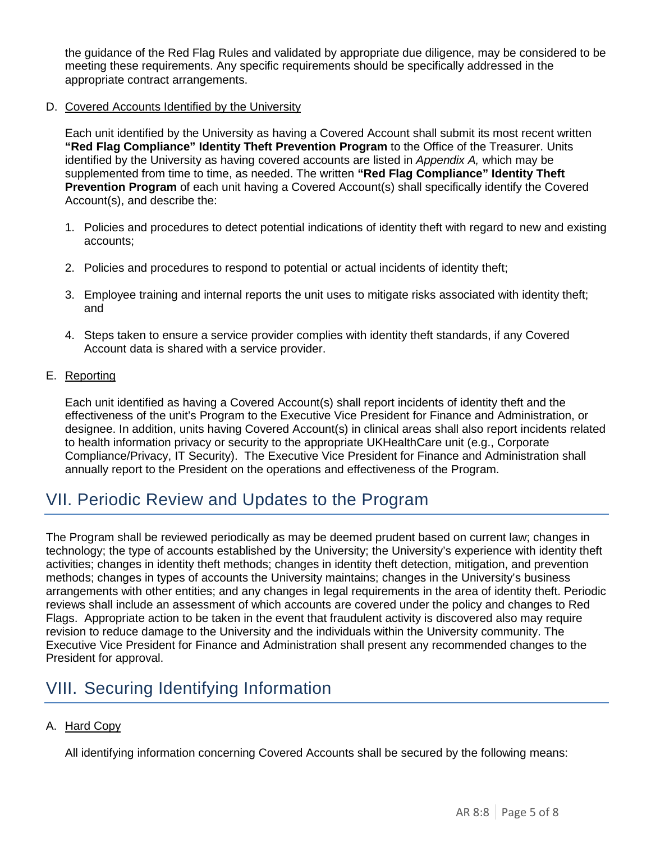the guidance of the Red Flag Rules and validated by appropriate due diligence, may be considered to be meeting these requirements. Any specific requirements should be specifically addressed in the appropriate contract arrangements.

#### D. Covered Accounts Identified by the University

Each unit identified by the University as having a Covered Account shall submit its most recent written **"Red Flag Compliance" Identity Theft Prevention Program** to the Office of the Treasurer. Units identified by the University as having covered accounts are listed in *Appendix A,* which may be supplemented from time to time, as needed. The written **"Red Flag Compliance" Identity Theft Prevention Program** of each unit having a Covered Account(s) shall specifically identify the Covered Account(s), and describe the:

- 1. Policies and procedures to detect potential indications of identity theft with regard to new and existing accounts;
- 2. Policies and procedures to respond to potential or actual incidents of identity theft;
- 3. Employee training and internal reports the unit uses to mitigate risks associated with identity theft; and
- 4. Steps taken to ensure a service provider complies with identity theft standards, if any Covered Account data is shared with a service provider.

#### E. Reporting

Each unit identified as having a Covered Account(s) shall report incidents of identity theft and the effectiveness of the unit's Program to the Executive Vice President for Finance and Administration, or designee. In addition, units having Covered Account(s) in clinical areas shall also report incidents related to health information privacy or security to the appropriate UKHealthCare unit (e.g., Corporate Compliance/Privacy, IT Security). The Executive Vice President for Finance and Administration shall annually report to the President on the operations and effectiveness of the Program.

### <span id="page-4-0"></span>VII. Periodic Review and Updates to the Program

The Program shall be reviewed periodically as may be deemed prudent based on current law; changes in technology; the type of accounts established by the University; the University's experience with identity theft activities; changes in identity theft methods; changes in identity theft detection, mitigation, and prevention methods; changes in types of accounts the University maintains; changes in the University's business arrangements with other entities; and any changes in legal requirements in the area of identity theft. Periodic reviews shall include an assessment of which accounts are covered under the policy and changes to Red Flags. Appropriate action to be taken in the event that fraudulent activity is discovered also may require revision to reduce damage to the University and the individuals within the University community. The Executive Vice President for Finance and Administration shall present any recommended changes to the President for approval.

### <span id="page-4-1"></span>VIII. Securing Identifying Information

### A. Hard Copy

All identifying information concerning Covered Accounts shall be secured by the following means: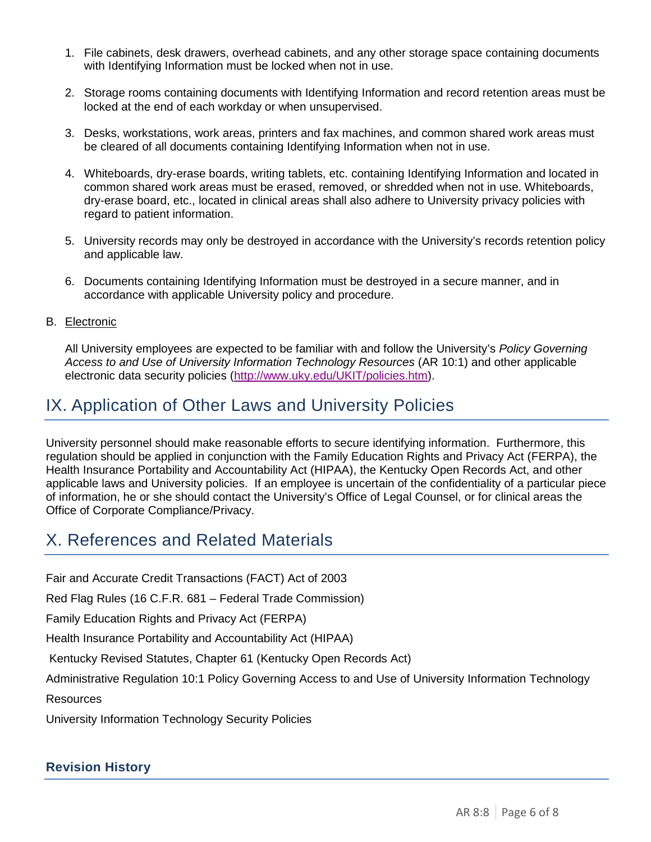- 1. File cabinets, desk drawers, overhead cabinets, and any other storage space containing documents with Identifying Information must be locked when not in use.
- 2. Storage rooms containing documents with Identifying Information and record retention areas must be locked at the end of each workday or when unsupervised.
- 3. Desks, workstations, work areas, printers and fax machines, and common shared work areas must be cleared of all documents containing Identifying Information when not in use.
- 4. Whiteboards, dry-erase boards, writing tablets, etc. containing Identifying Information and located in common shared work areas must be erased, removed, or shredded when not in use. Whiteboards, dry-erase board, etc., located in clinical areas shall also adhere to University privacy policies with regard to patient information.
- 5. University records may only be destroyed in accordance with the University's records retention policy and applicable law.
- 6. Documents containing Identifying Information must be destroyed in a secure manner, and in accordance with applicable University policy and procedure.

#### B. Electronic

All University employees are expected to be familiar with and follow the University's *Policy Governing Access to and Use of University Information Technology Resources* (AR 10:1) and other applicable electronic data security policies [\(http://www.uky.edu/UKIT/policies.htm\)](http://www.uky.edu/UKIT/policies.htm).

### <span id="page-5-0"></span>IX. Application of Other Laws and University Policies

University personnel should make reasonable efforts to secure identifying information. Furthermore, this regulation should be applied in conjunction with the Family Education Rights and Privacy Act (FERPA), the Health Insurance Portability and Accountability Act (HIPAA), the Kentucky Open Records Act, and other applicable laws and University policies. If an employee is uncertain of the confidentiality of a particular piece of information, he or she should contact the University's Office of Legal Counsel, or for clinical areas the Office of Corporate Compliance/Privacy.

### X. References and Related Materials

Fair and Accurate Credit Transactions (FACT) Act of 2003

Red Flag Rules (16 C.F.R. 681 – Federal Trade Commission)

Family Education Rights and Privacy Act (FERPA)

Health Insurance Portability and Accountability Act (HIPAA)

Kentucky Revised Statutes, Chapter 61 (Kentucky Open Records Act)

Administrative Regulation 10:1 Policy Governing Access to and Use of University Information Technology

Resources

University Information Technology Security Policies

### **Revision History**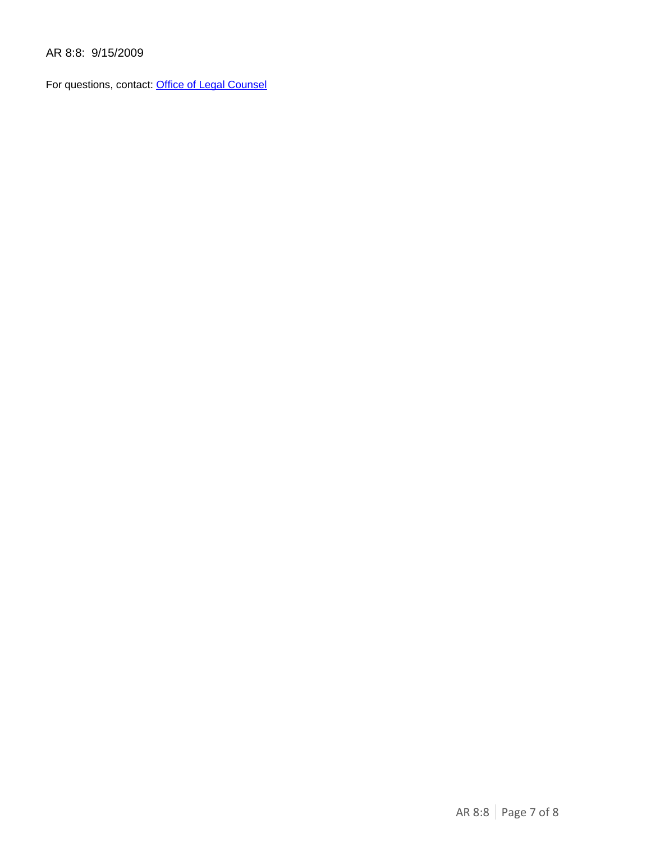AR 8:8: 9/15/2009

For questions, contact: [Office of Legal Counsel](mailto:LegalRegs@uky.edu)